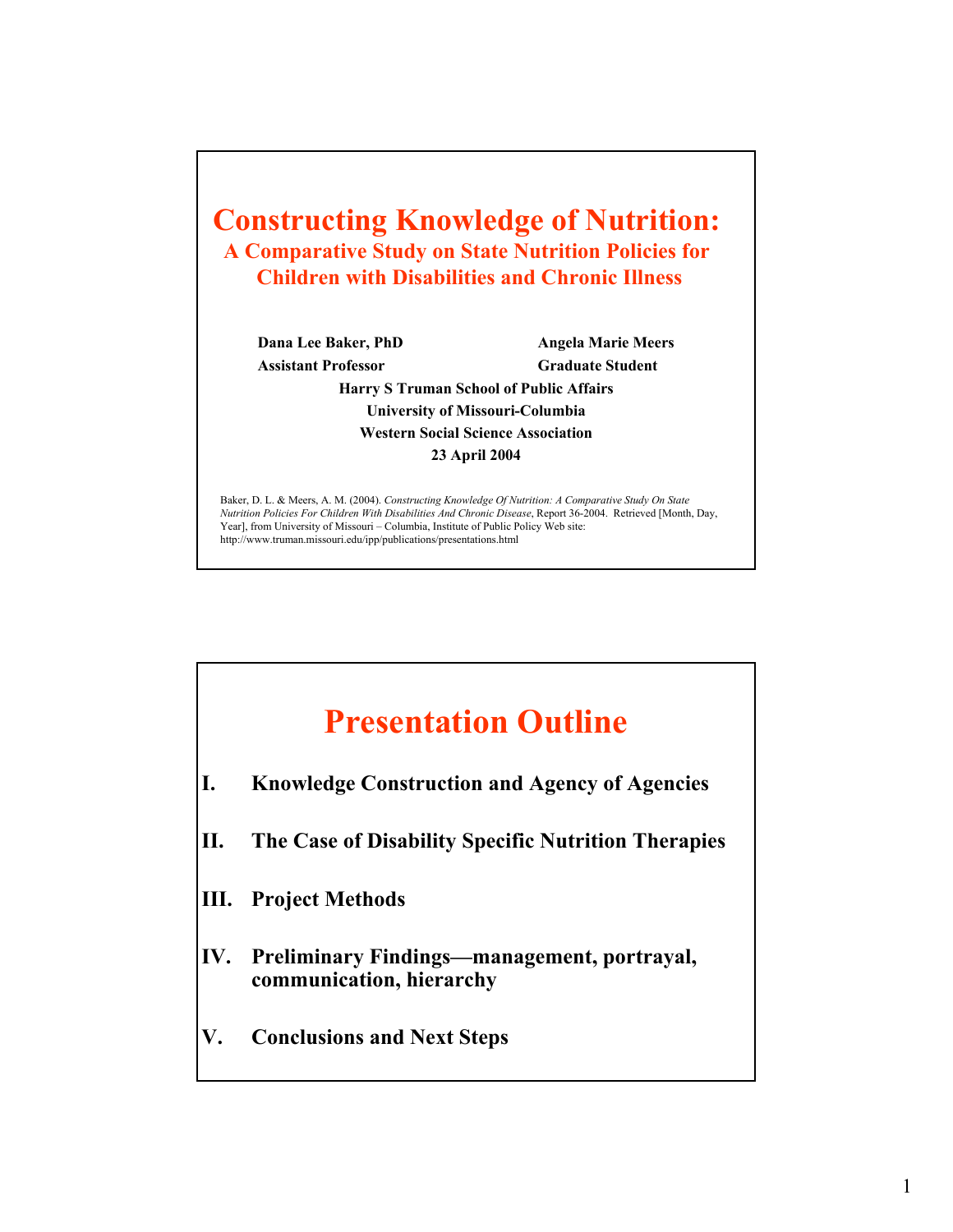

## **Presentation Outline**

- **I. Knowledge Construction and Agency of Agencies**
- **II. The Case of Disability Specific Nutrition Therapies**
- **III. Project Methods**
- **IV. Preliminary Findings—management, portrayal, communication, hierarchy**
- **V. Conclusions and Next Steps**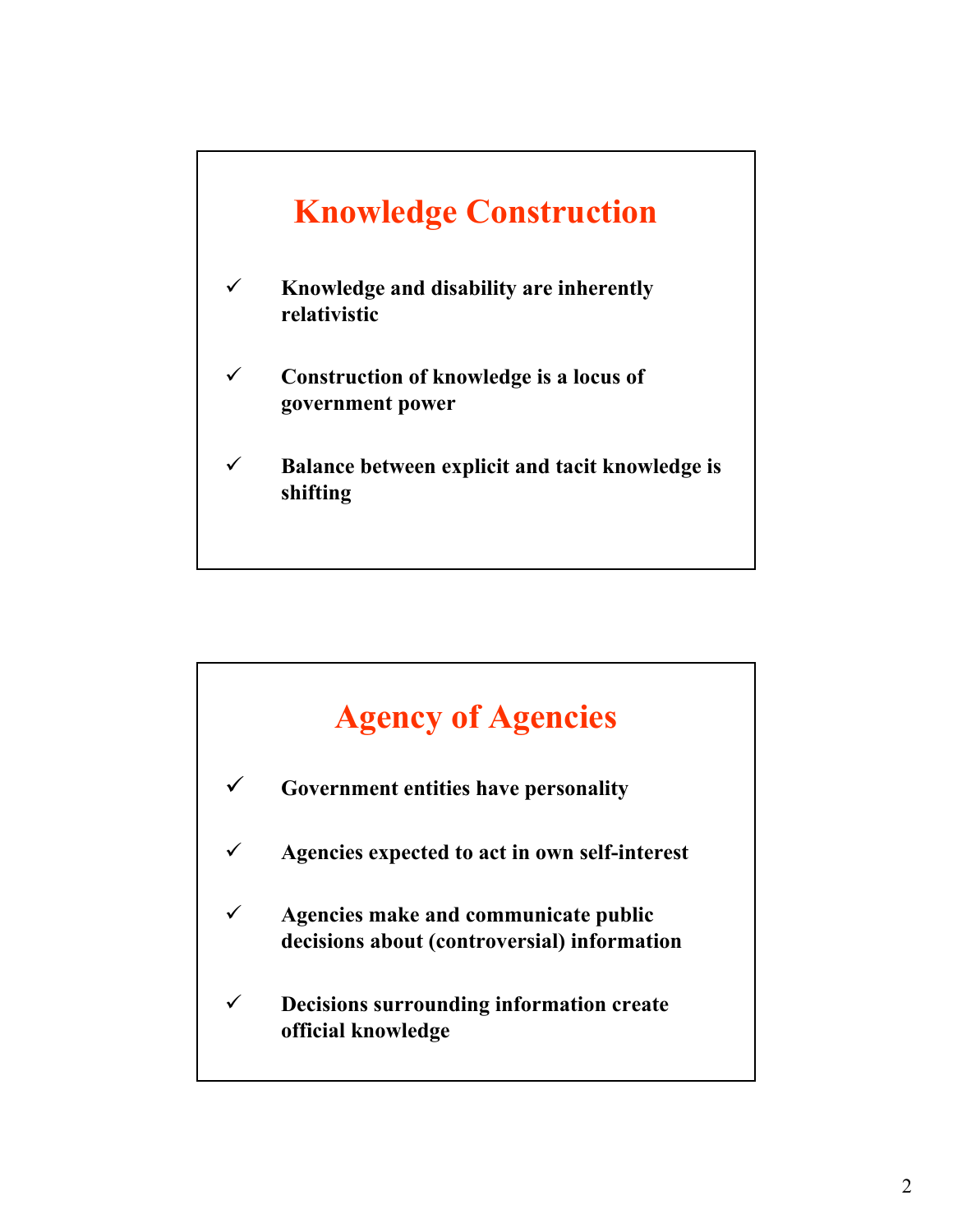

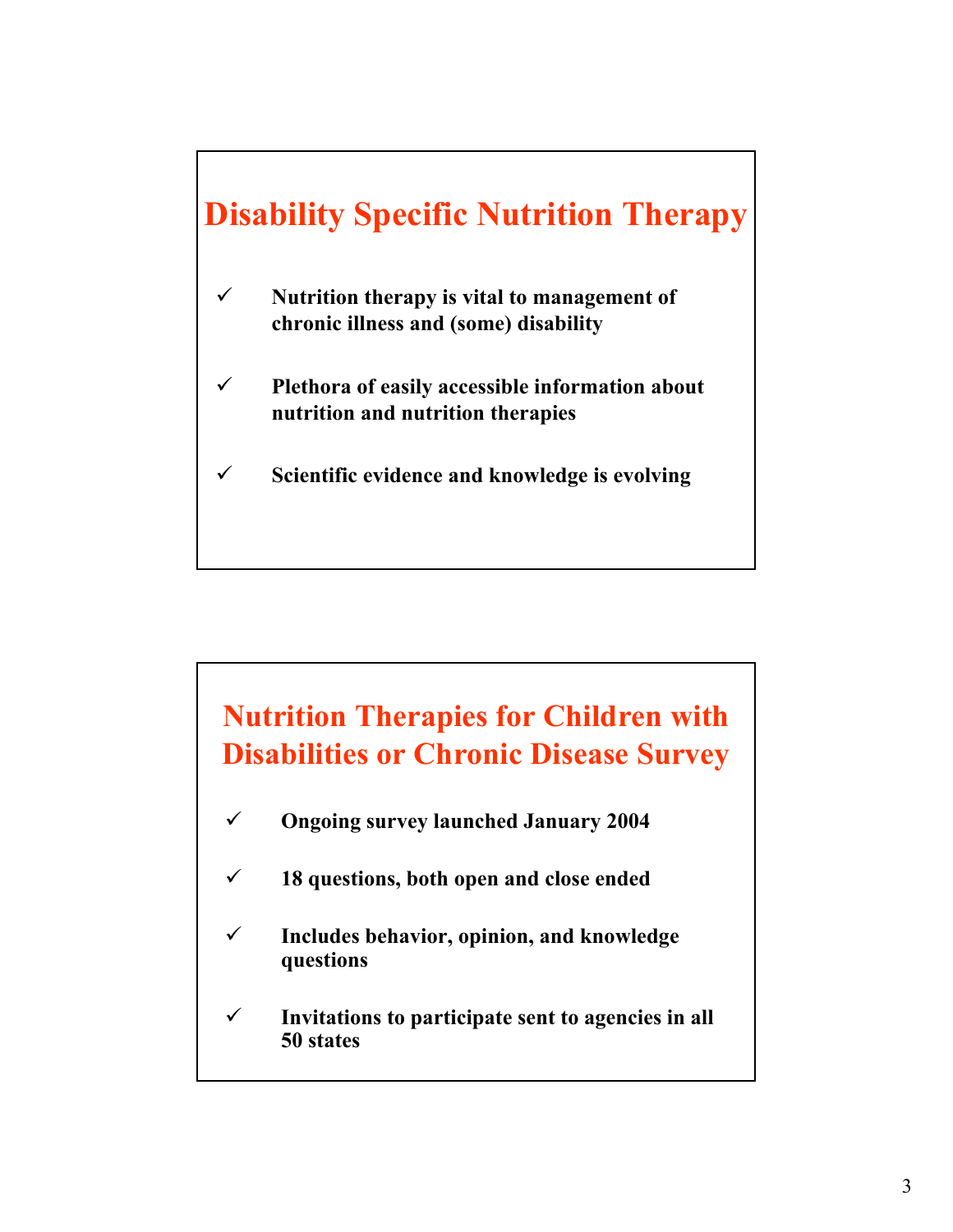

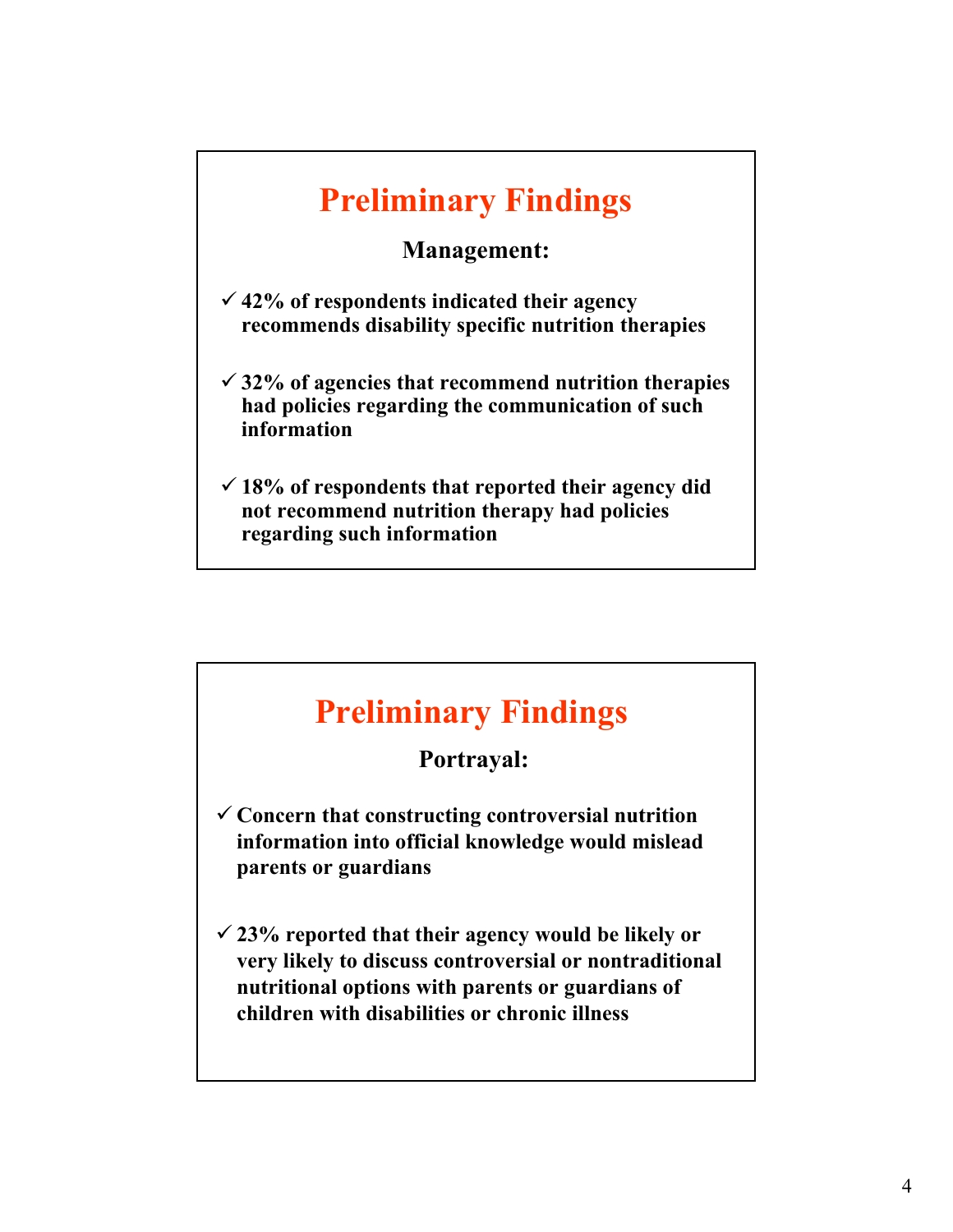# **Preliminary Findings**

#### **Management:**

- 9 **42% of respondents indicated their agency recommends disability specific nutrition therapies**
- 9 **32% of agencies that recommend nutrition therapies had policies regarding the communication of such information**
- $\checkmark$  18% of respondents that reported their agency did **not recommend nutrition therapy had policies regarding such information**

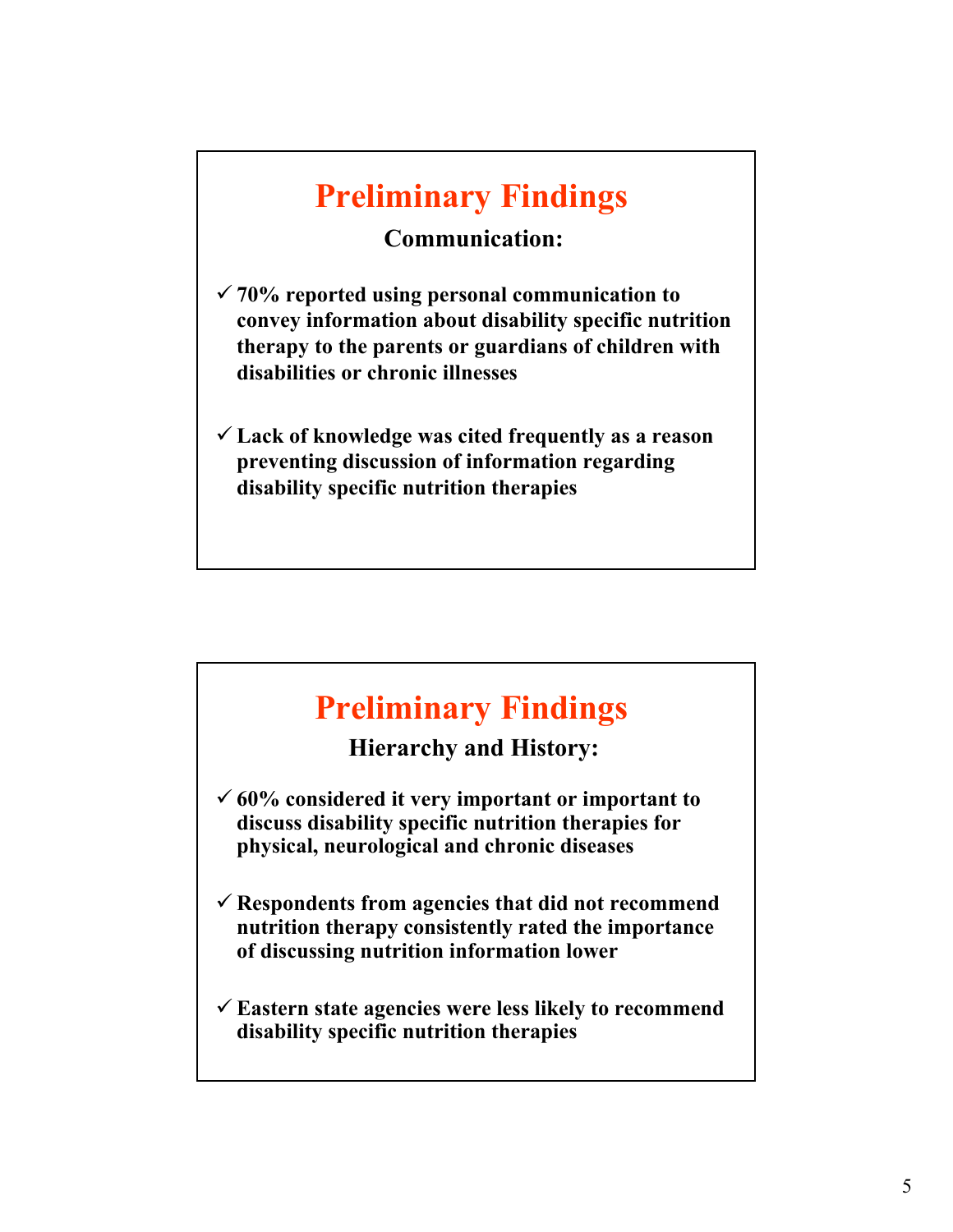# **Preliminary Findings**

#### **Communication:**

- 9 **70% reported using personal communication to convey information about disability specific nutrition therapy to the parents or guardians of children with disabilities or chronic illnesses**
- 9 **Lack of knowledge was cited frequently as a reason preventing discussion of information regarding disability specific nutrition therapies**

## **Preliminary Findings**

**Hierarchy and History:**

- $60\%$  considered it very important or important to **discuss disability specific nutrition therapies for physical, neurological and chronic diseases**
- 9 **Respondents from agencies that did not recommend nutrition therapy consistently rated the importance of discussing nutrition information lower**
- 9 **Eastern state agencies were less likely to recommend disability specific nutrition therapies**